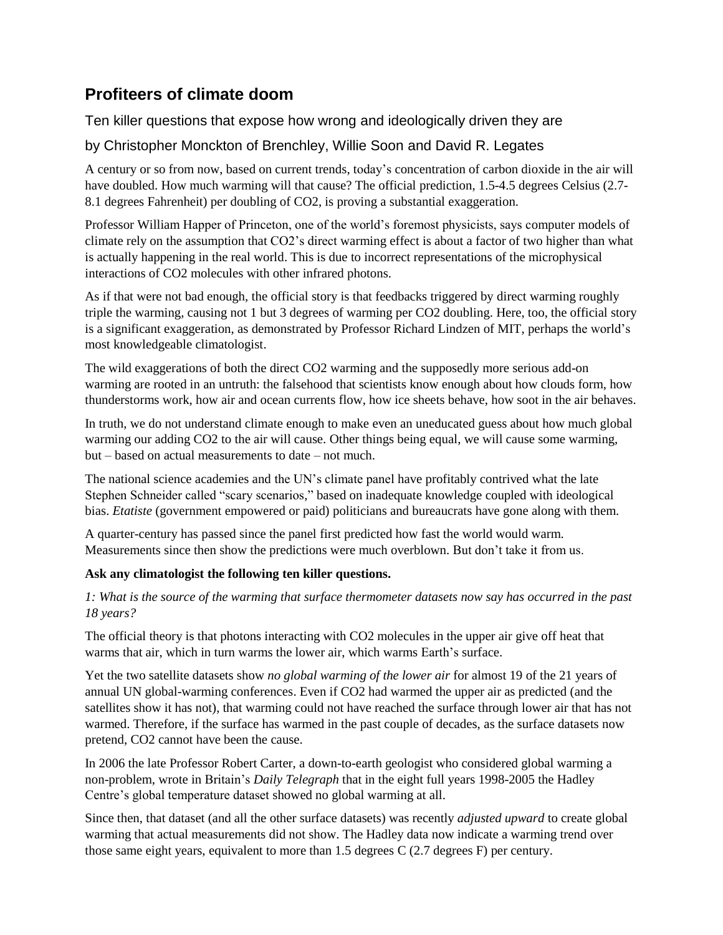# **Profiteers of climate doom**

Ten killer questions that expose how wrong and ideologically driven they are

## by Christopher Monckton of Brenchley, Willie Soon and David R. Legates

A century or so from now, based on current trends, today's concentration of carbon dioxide in the air will have doubled. How much warming will that cause? The official prediction, 1.5-4.5 degrees Celsius (2.7- 8.1 degrees Fahrenheit) per doubling of CO2, is proving a substantial exaggeration.

Professor William Happer of Princeton, one of the world's foremost physicists, says computer models of climate rely on the assumption that CO2's direct warming effect is about a factor of two higher than what is actually happening in the real world. This is due to incorrect representations of the microphysical interactions of CO2 molecules with other infrared photons.

As if that were not bad enough, the official story is that feedbacks triggered by direct warming roughly triple the warming, causing not 1 but 3 degrees of warming per CO2 doubling. Here, too, the official story is a significant exaggeration, as demonstrated by Professor Richard Lindzen of MIT, perhaps the world's most knowledgeable climatologist.

The wild exaggerations of both the direct CO2 warming and the supposedly more serious add-on warming are rooted in an untruth: the falsehood that scientists know enough about how clouds form, how thunderstorms work, how air and ocean currents flow, how ice sheets behave, how soot in the air behaves.

In truth, we do not understand climate enough to make even an uneducated guess about how much global warming our adding CO2 to the air will cause. Other things being equal, we will cause some warming, but – based on actual measurements to date – not much.

The national science academies and the UN's climate panel have profitably contrived what the late Stephen Schneider called "scary scenarios," based on inadequate knowledge coupled with ideological bias. *Etatiste* (government empowered or paid) politicians and bureaucrats have gone along with them.

A quarter-century has passed since the panel first predicted how fast the world would warm. Measurements since then show the predictions were much overblown. But don't take it from us.

### **Ask any climatologist the following ten killer questions.**

*1: What is the source of the warming that surface thermometer datasets now say has occurred in the past 18 years?* 

The official theory is that photons interacting with CO2 molecules in the upper air give off heat that warms that air, which in turn warms the lower air, which warms Earth's surface.

Yet the two satellite datasets show *no global warming of the lower air* for almost 19 of the 21 years of annual UN global-warming conferences. Even if CO2 had warmed the upper air as predicted (and the satellites show it has not), that warming could not have reached the surface through lower air that has not warmed. Therefore, if the surface has warmed in the past couple of decades, as the surface datasets now pretend, CO2 cannot have been the cause.

In 2006 the late Professor Robert Carter, a down-to-earth geologist who considered global warming a non-problem, wrote in Britain's *Daily Telegraph* that in the eight full years 1998-2005 the Hadley Centre's global temperature dataset showed no global warming at all.

Since then, that dataset (and all the other surface datasets) was recently *adjusted upward* to create global warming that actual measurements did not show. The Hadley data now indicate a warming trend over those same eight years, equivalent to more than 1.5 degrees C (2.7 degrees F) per century.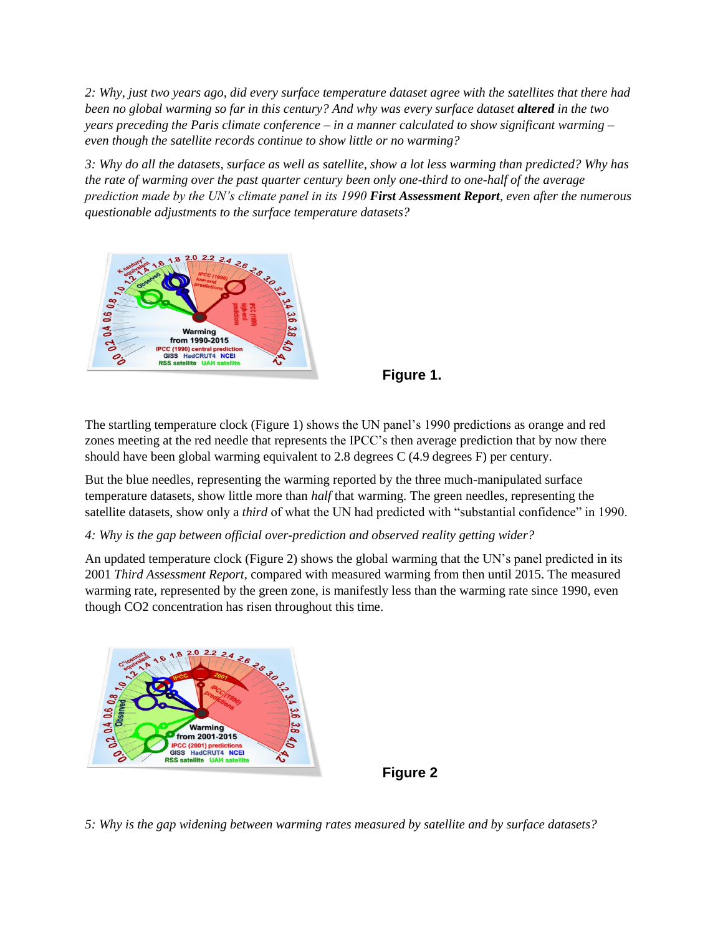*2: Why, just two years ago, did every surface temperature dataset agree with the satellites that there had been no global warming so far in this century? And why was every surface dataset altered in the two years preceding the Paris climate conference – in a manner calculated to show significant warming – even though the satellite records continue to show little or no warming?* 

*3: Why do all the datasets, surface as well as satellite, show a lot less warming than predicted? Why has the rate of warming over the past quarter century been only one-third to one-half of the average prediction made by the UN's climate panel in its 1990 First Assessment Report, even after the numerous questionable adjustments to the surface temperature datasets?*





The startling temperature clock (Figure 1) shows the UN panel's 1990 predictions as orange and red zones meeting at the red needle that represents the IPCC's then average prediction that by now there should have been global warming equivalent to 2.8 degrees C (4.9 degrees F) per century.

But the blue needles, representing the warming reported by the three much-manipulated surface temperature datasets, show little more than *half* that warming. The green needles, representing the satellite datasets, show only a *third* of what the UN had predicted with "substantial confidence" in 1990.

#### *4: Why is the gap between official over-prediction and observed reality getting wider?*

An updated temperature clock (Figure 2) shows the global warming that the UN's panel predicted in its 2001 *Third Assessment Report,* compared with measured warming from then until 2015. The measured warming rate, represented by the green zone, is manifestly less than the warming rate since 1990, even though CO2 concentration has risen throughout this time.





*5: Why is the gap widening between warming rates measured by satellite and by surface datasets?*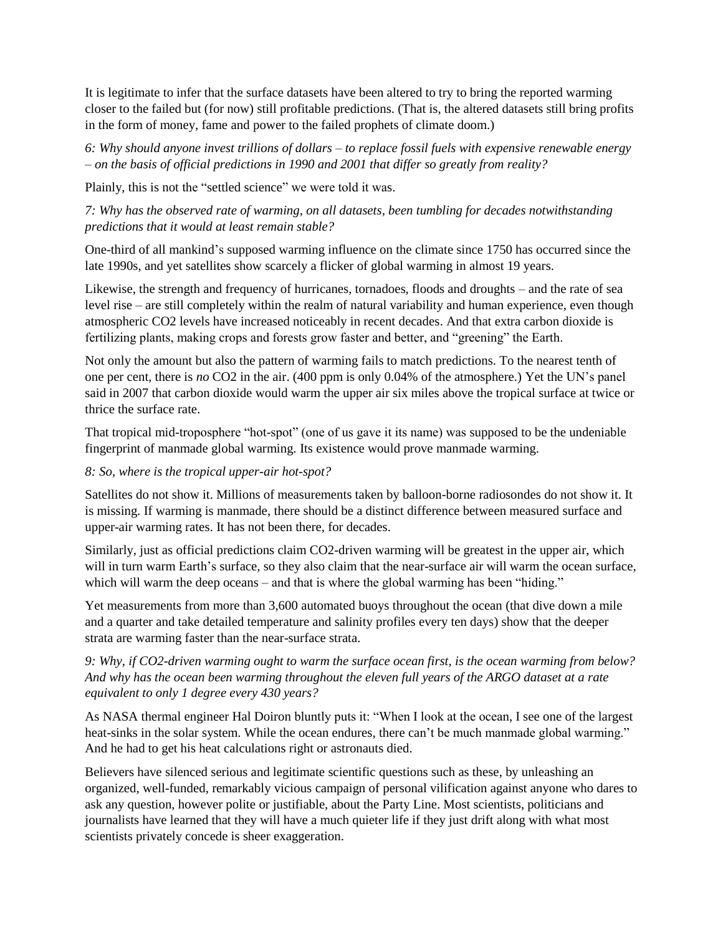It is legitimate to infer that the surface datasets have been altered to try to bring the reported warming closer to the failed but (for now) still profitable predictions. (That is, the altered datasets still bring profits in the form of money, fame and power to the failed prophets of climate doom.)

*6: Why should anyone invest trillions of dollars – to replace fossil fuels with expensive renewable energy – on the basis of official predictions in 1990 and 2001 that differ so greatly from reality?* 

Plainly, this is not the "settled science" we were told it was.

*7: Why has the observed rate of warming, on all datasets, been tumbling for decades notwithstanding predictions that it would at least remain stable?*

One-third of all mankind's supposed warming influence on the climate since 1750 has occurred since the late 1990s, and yet satellites show scarcely a flicker of global warming in almost 19 years.

Likewise, the strength and frequency of hurricanes, tornadoes, floods and droughts – and the rate of sea level rise – are still completely within the realm of natural variability and human experience, even though atmospheric CO2 levels have increased noticeably in recent decades. And that extra carbon dioxide is fertilizing plants, making crops and forests grow faster and better, and "greening" the Earth.

Not only the amount but also the pattern of warming fails to match predictions. To the nearest tenth of one per cent, there is *no* CO2 in the air. (400 ppm is only 0.04% of the atmosphere.) Yet the UN's panel said in 2007 that carbon dioxide would warm the upper air six miles above the tropical surface at twice or thrice the surface rate.

That tropical mid-troposphere "hot-spot" (one of us gave it its name) was supposed to be the undeniable fingerprint of manmade global warming. Its existence would prove manmade warming.

#### *8: So, where is the tropical upper-air hot-spot?*

Satellites do not show it. Millions of measurements taken by balloon-borne radiosondes do not show it. It is missing. If warming is manmade, there should be a distinct difference between measured surface and upper-air warming rates. It has not been there, for decades.

Similarly, just as official predictions claim CO2-driven warming will be greatest in the upper air, which will in turn warm Earth's surface, so they also claim that the near-surface air will warm the ocean surface, which will warm the deep oceans – and that is where the global warming has been "hiding."

Yet measurements from more than 3,600 automated buoys throughout the ocean (that dive down a mile and a quarter and take detailed temperature and salinity profiles every ten days) show that the deeper strata are warming faster than the near-surface strata.

#### *9: Why, if CO2-driven warming ought to warm the surface ocean first, is the ocean warming from below? And why has the ocean been warming throughout the eleven full years of the ARGO dataset at a rate equivalent to only 1 degree every 430 years?*

As NASA thermal engineer Hal Doiron bluntly puts it: "When I look at the ocean, I see one of the largest heat-sinks in the solar system. While the ocean endures, there can't be much manmade global warming." And he had to get his heat calculations right or astronauts died.

Believers have silenced serious and legitimate scientific questions such as these, by unleashing an organized, well-funded, remarkably vicious campaign of personal vilification against anyone who dares to ask any question, however polite or justifiable, about the Party Line. Most scientists, politicians and journalists have learned that they will have a much quieter life if they just drift along with what most scientists privately concede is sheer exaggeration.